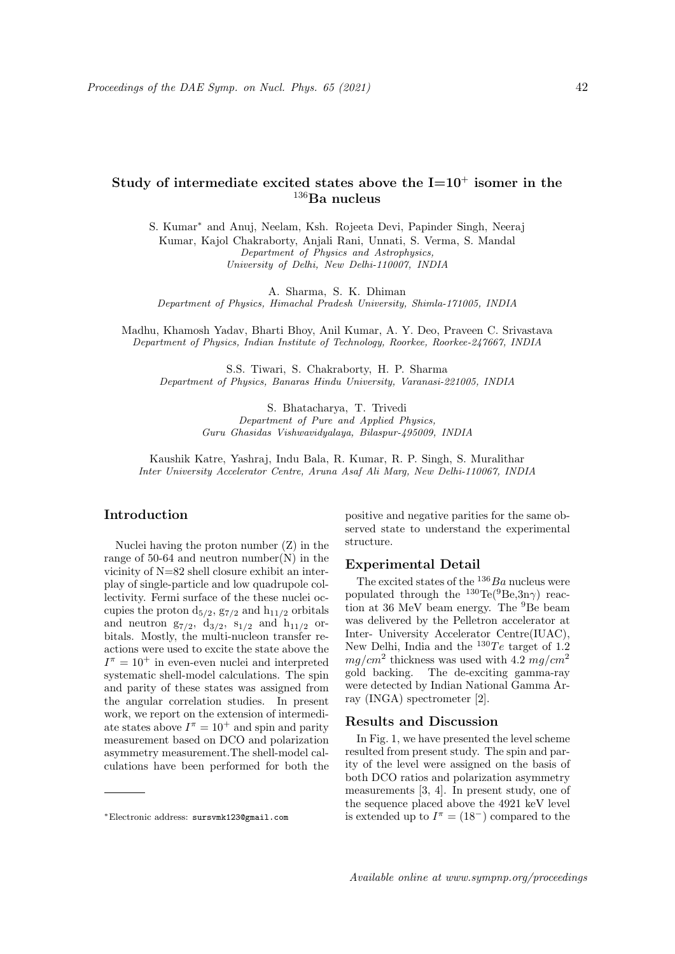# Study of intermediate excited states above the  $I=10^+$  isomer in the  $^{136}\rm{Ba}$  nucleus

S. Kumar<sup>∗</sup> and Anuj, Neelam, Ksh. Rojeeta Devi, Papinder Singh, Neeraj Kumar, Kajol Chakraborty, Anjali Rani, Unnati, S. Verma, S. Mandal Department of Physics and Astrophysics, University of Delhi, New Delhi-110007, INDIA

A. Sharma, S. K. Dhiman

Department of Physics, Himachal Pradesh University, Shimla-171005, INDIA

Madhu, Khamosh Yadav, Bharti Bhoy, Anil Kumar, A. Y. Deo, Praveen C. Srivastava Department of Physics, Indian Institute of Technology, Roorkee, Roorkee-247667, INDIA

S.S. Tiwari, S. Chakraborty, H. P. Sharma Department of Physics, Banaras Hindu University, Varanasi-221005, INDIA

> S. Bhatacharya, T. Trivedi Department of Pure and Applied Physics, Guru Ghasidas Vishwavidyalaya, Bilaspur-495009, INDIA

Kaushik Katre, Yashraj, Indu Bala, R. Kumar, R. P. Singh, S. Muralithar Inter University Accelerator Centre, Aruna Asaf Ali Marg, New Delhi-110067, INDIA

## Introduction

Nuclei having the proton number (Z) in the range of  $50-64$  and neutron number(N) in the vicinity of N=82 shell closure exhibit an interplay of single-particle and low quadrupole collectivity. Fermi surface of the these nuclei occupies the proton  $d_{5/2}$ ,  $g_{7/2}$  and  $h_{11/2}$  orbitals and neutron  $g_{7/2}$ ,  $d_{3/2}$ ,  $s_{1/2}$  and  $h_{11/2}$  orbitals. Mostly, the multi-nucleon transfer reactions were used to excite the state above the  $I^{\pi} = 10^{+}$  in even-even nuclei and interpreted systematic shell-model calculations. The spin and parity of these states was assigned from the angular correlation studies. In present work, we report on the extension of intermediate states above  $I^{\pi} = 10^{+}$  and spin and parity measurement based on DCO and polarization asymmetry measurement.The shell-model calculations have been performed for both the positive and negative parities for the same observed state to understand the experimental structure.

#### Experimental Detail

The excited states of the  $136Ba$  nucleus were populated through the  $^{130}$ Te( $^{9}$ Be, $3n\gamma$ ) reaction at 36 MeV beam energy. The <sup>9</sup>Be beam was delivered by the Pelletron accelerator at Inter- University Accelerator Centre(IUAC), New Delhi, India and the  $^{130}Te$  target of 1.2  $mg/cm^2$  thickness was used with 4.2  $mg/cm^2$ gold backing. The de-exciting gamma-ray were detected by Indian National Gamma Array (INGA) spectrometer [2].

### Results and Discussion

In Fig. 1, we have presented the level scheme resulted from present study. The spin and parity of the level were assigned on the basis of both DCO ratios and polarization asymmetry measurements [3, 4]. In present study, one of the sequence placed above the 4921 keV level is extended up to  $I^{\pi} = (18^{-})$  compared to the

<sup>∗</sup>Electronic address: sursvmk123@gmail.com